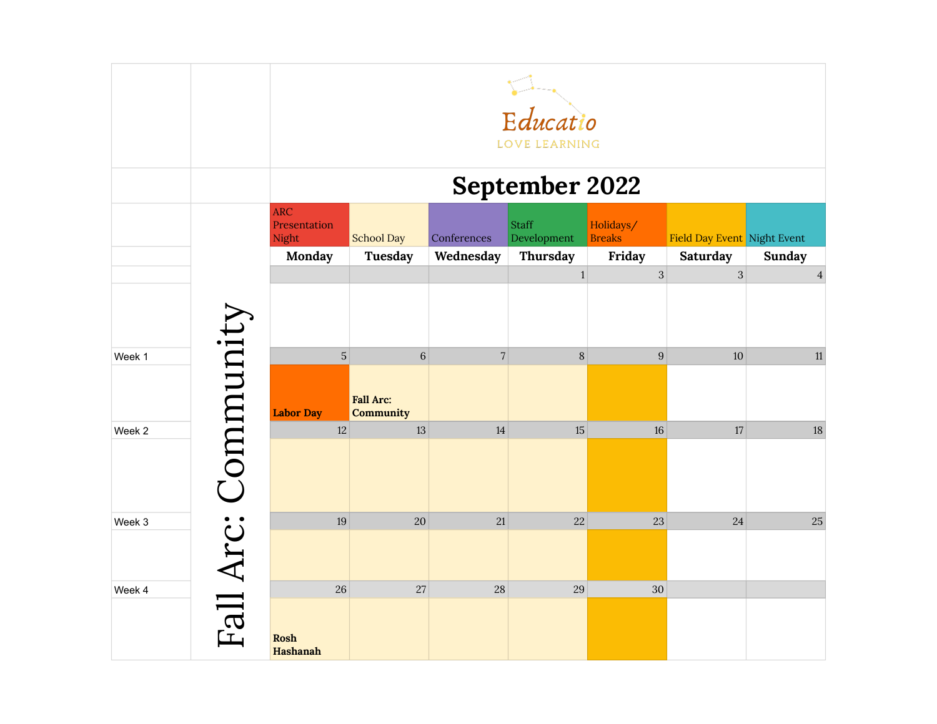|        |           |                                               | Educatio<br>LOVE LEARNING            |                          |                                  |                                      |                                         |                |  |  |
|--------|-----------|-----------------------------------------------|--------------------------------------|--------------------------|----------------------------------|--------------------------------------|-----------------------------------------|----------------|--|--|
|        |           |                                               |                                      |                          | <b>September 2022</b>            |                                      |                                         |                |  |  |
|        |           | <b>ARC</b><br>Presentation<br>Night<br>Monday | <b>School Day</b><br>Tuesday         | Conferences<br>Wednesday | Staff<br>Development<br>Thursday | Holidays/<br><b>Breaks</b><br>Friday | Field Day Event Night Event<br>Saturday | <b>Sunday</b>  |  |  |
|        |           |                                               |                                      |                          | $\mathbf{1}$                     | $\overline{3}$                       | $\overline{3}$                          | $\overline{4}$ |  |  |
|        |           |                                               |                                      |                          |                                  |                                      |                                         |                |  |  |
| Week 1 |           | $\mathbf 5$                                   | $\,6\,$                              | $7\vert$                 | 8                                | $\boldsymbol{9}$                     | $10\,$                                  | 11             |  |  |
|        |           | <b>Labor Day</b>                              | <b>Fall Arc:</b><br><b>Community</b> |                          |                                  |                                      |                                         |                |  |  |
| Week 2 |           | $12\,$                                        | $13\,$                               | 14                       | 15                               | 16                                   | 17                                      | 18             |  |  |
|        | Community |                                               |                                      |                          |                                  |                                      |                                         |                |  |  |
| Week 3 |           | $19\,$                                        | 20                                   | 21                       | 22                               | 23                                   | 24                                      | 25             |  |  |
|        | Fall Arc: |                                               |                                      |                          |                                  |                                      |                                         |                |  |  |
| Week 4 |           | 26                                            | 27                                   | 28                       | 29                               | $30\,$                               |                                         |                |  |  |
|        |           | <b>Rosh</b><br>Hashanah                       |                                      |                          |                                  |                                      |                                         |                |  |  |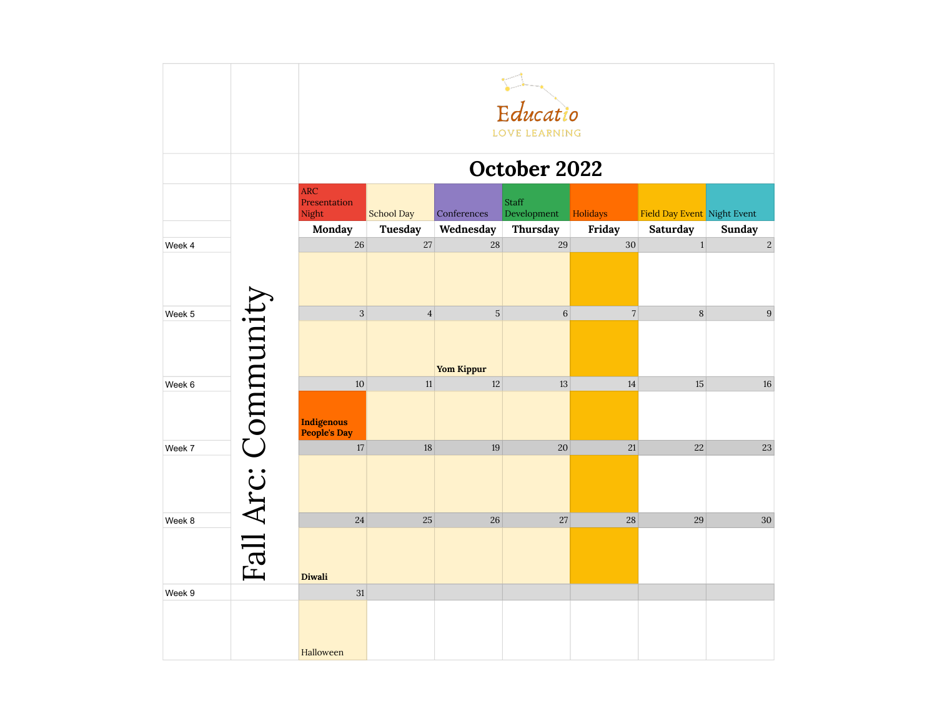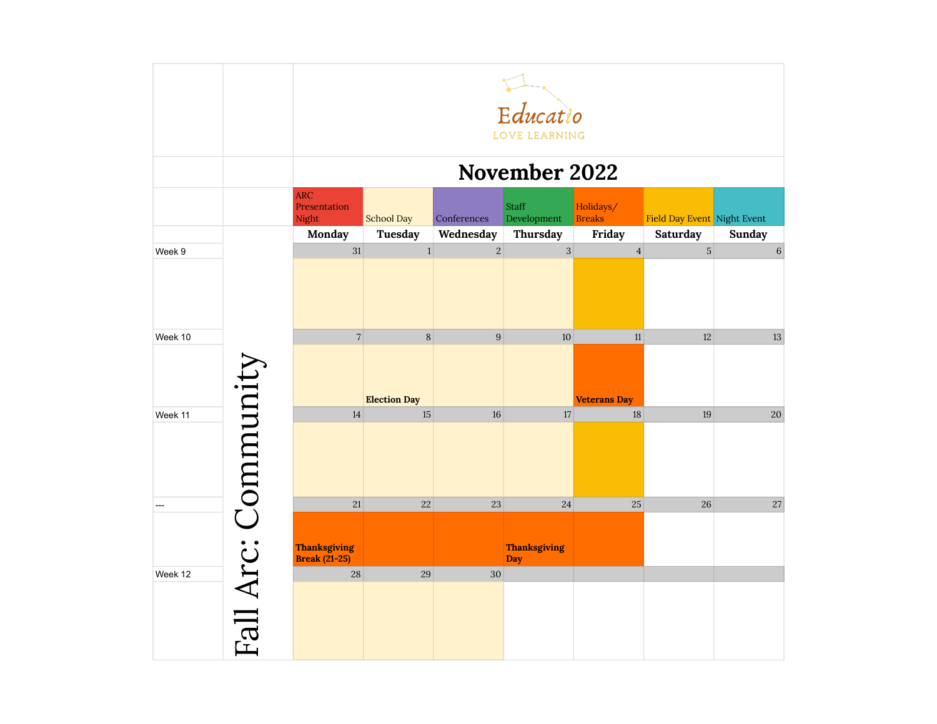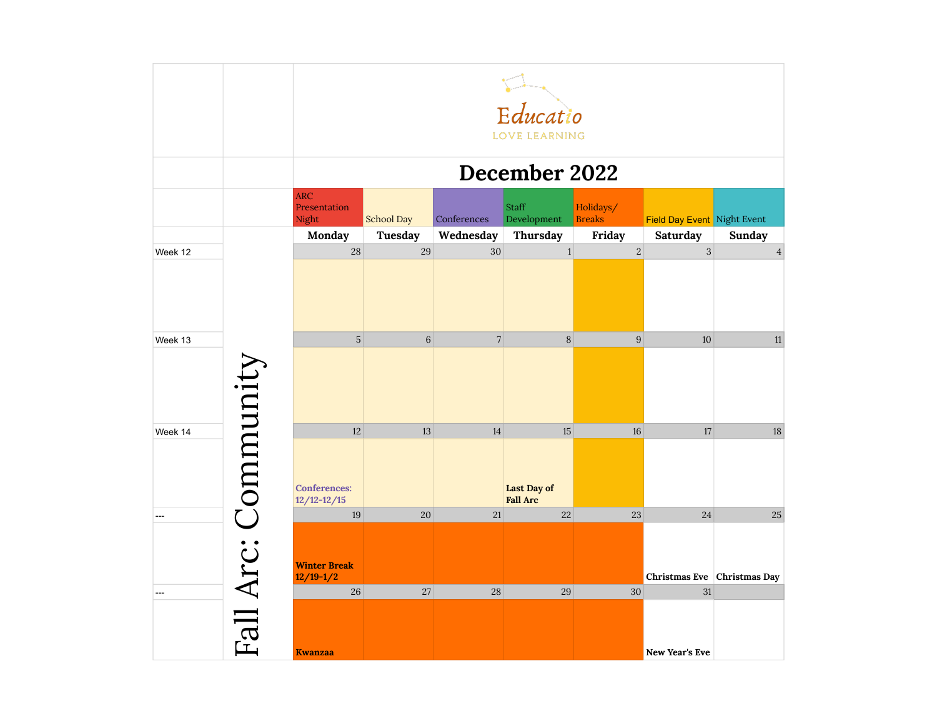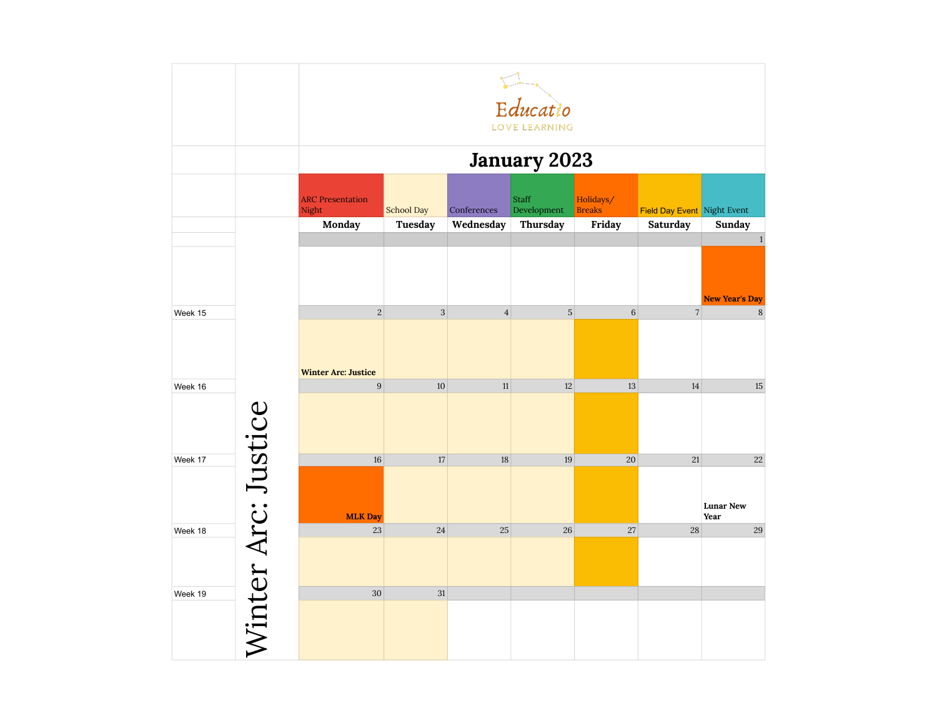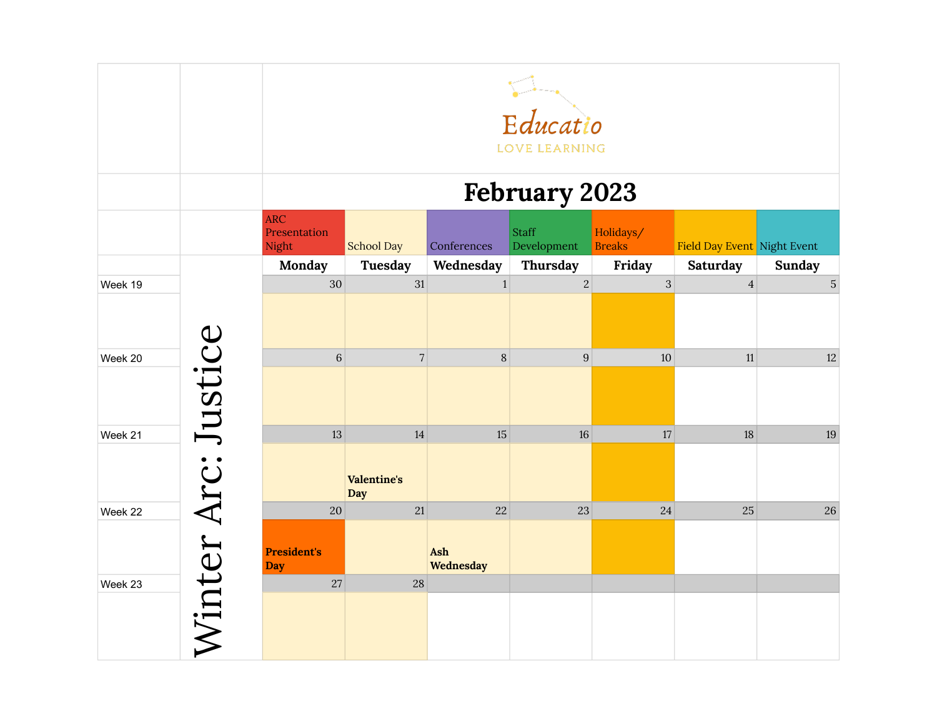|         |                     |                                        | Educatio<br><b>LOVE LEARNING</b>       |                        |                             |                            |                             |                |  |  |
|---------|---------------------|----------------------------------------|----------------------------------------|------------------------|-----------------------------|----------------------------|-----------------------------|----------------|--|--|
|         |                     |                                        | <b>February 2023</b>                   |                        |                             |                            |                             |                |  |  |
|         |                     | <b>ARC</b><br>Presentation<br>Night    | <b>School Day</b>                      | Conferences            | <b>Staff</b><br>Development | Holidays/<br><b>Breaks</b> | Field Day Event Night Event |                |  |  |
|         |                     | Monday                                 | Tuesday                                | Wednesday              | Thursday                    | Friday                     | Saturday                    | <b>Sunday</b>  |  |  |
| Week 19 |                     | 30                                     | 31                                     | $\mathbf{1}$           | $\overline{2}$              | $\overline{3}$             | $\overline{4}$              | $\overline{5}$ |  |  |
| Week 20 |                     | $6\phantom{a}$                         | $\overline{7}$                         | $\,8\,$                | $\boldsymbol{9}$            | 10                         | 11                          | 12             |  |  |
| Week 21 |                     | 13                                     | 14<br><b>Valentine's</b><br><b>Day</b> | 15                     | 16                          | 17                         | 18                          | 19             |  |  |
| Week 22 |                     | 20<br><b>President's</b><br><b>Day</b> | 21                                     | 22<br>Ash<br>Wednesday | 23                          | 24                         | 25                          | 26             |  |  |
| Week 23 | Winter Arc: Justice | 27                                     | 28                                     |                        |                             |                            |                             |                |  |  |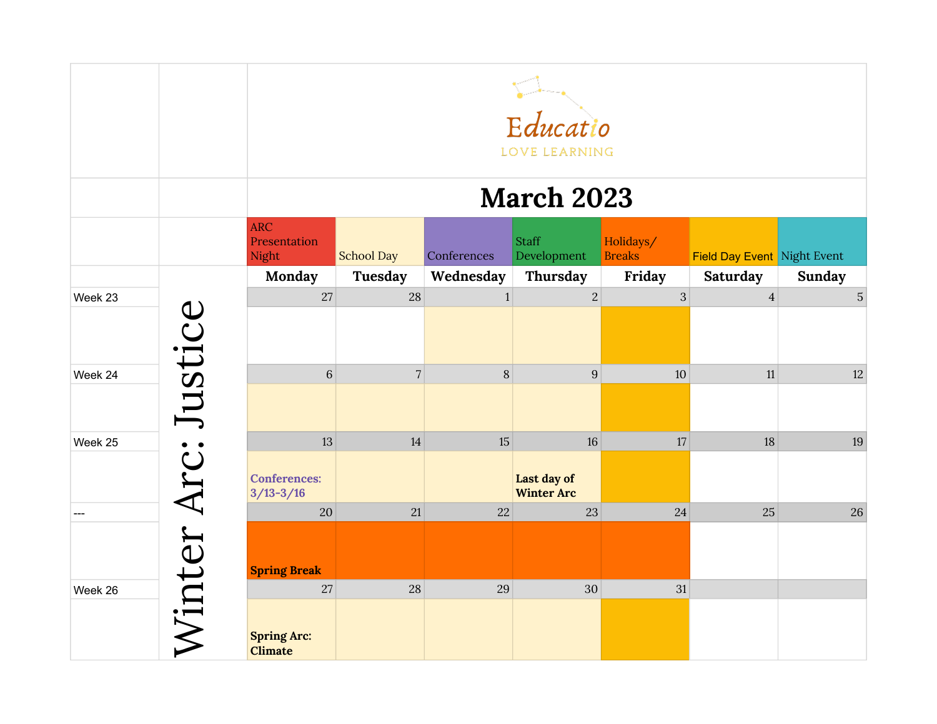|         |                     |                                            | Educatio<br><b>LOVE LEARNING</b> |              |                                        |                            |                                    |               |  |  |  |
|---------|---------------------|--------------------------------------------|----------------------------------|--------------|----------------------------------------|----------------------------|------------------------------------|---------------|--|--|--|
|         |                     |                                            | <b>March 2023</b>                |              |                                        |                            |                                    |               |  |  |  |
|         |                     | <b>ARC</b><br>Presentation<br>Night        | <b>School Day</b>                | Conferences  | <b>Staff</b><br>Development            | Holidays/<br><b>Breaks</b> | <b>Field Day Event</b> Night Event |               |  |  |  |
|         |                     | Monday                                     | Tuesday                          | Wednesday    | Thursday                               | Friday                     | Saturday                           | <b>Sunday</b> |  |  |  |
| Week 23 |                     | 27                                         | 28                               | $\mathbf{1}$ | $\overline{2}$                         | 3                          | $\overline{4}$                     | $\sqrt{5}$    |  |  |  |
| Week 24 |                     | $\sqrt{6}$                                 | $\overline{7}$                   | 8            | $\boldsymbol{9}$                       | 10                         | 11                                 | $12\,$        |  |  |  |
| Week 25 |                     | 13<br><b>Conferences:</b><br>$3/13 - 3/16$ | 14                               | 15           | 16<br>Last day of<br><b>Winter Arc</b> | 17                         | 18                                 | 19            |  |  |  |
|         | Winter Arc: Justice | 20<br><b>Spring Break</b>                  | 21                               | 22           | 23                                     | 24                         | 25                                 | 26            |  |  |  |
| Week 26 |                     | 27<br><b>Spring Arc:</b><br><b>Climate</b> | 28                               | 29           | 30                                     | 31                         |                                    |               |  |  |  |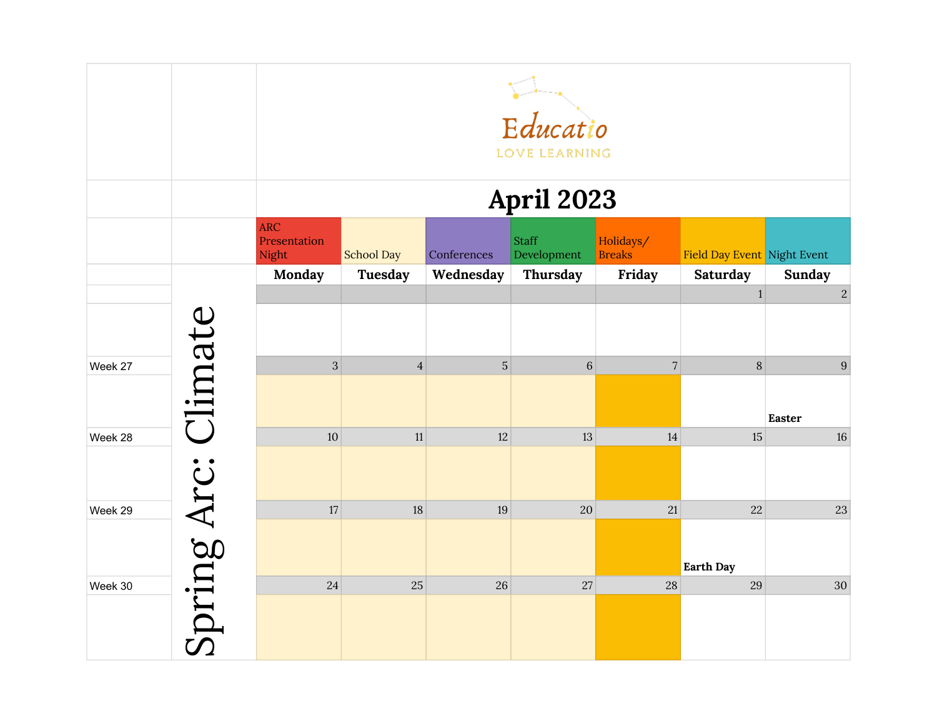|         |             |                                     | Educatio<br><b>LOVE LEARNING</b> |                |                             |                            |                             |                                 |  |  |
|---------|-------------|-------------------------------------|----------------------------------|----------------|-----------------------------|----------------------------|-----------------------------|---------------------------------|--|--|
|         |             |                                     | April 2023                       |                |                             |                            |                             |                                 |  |  |
|         |             | <b>ARC</b><br>Presentation<br>Night | <b>School Day</b>                | Conferences    | <b>Staff</b><br>Development | Holidays/<br><b>Breaks</b> | Field Day Event Night Event |                                 |  |  |
|         |             | Monday                              | <b>Tuesday</b>                   | Wednesday      | Thursday                    | Friday                     | Saturday                    | <b>Sunday</b>                   |  |  |
|         |             |                                     |                                  |                |                             |                            | $\mathbf{1}$                | $\overline{c}$                  |  |  |
| Week 27 | Climate     | $\overline{3}$                      | $\overline{4}$                   | 5 <sup>1</sup> | $\,6\,$                     | $\sqrt{ }$                 | $\, 8$                      | $9\phantom{.}$<br><b>Easter</b> |  |  |
| Week 28 |             | 10                                  | 11                               | 12             | 13                          | 14                         | 15                          | $16\,$                          |  |  |
| Week 29 |             | $17\,$                              | 18                               | 19             | 20                          | 21                         | 22<br><b>Earth Day</b>      | $23\,$                          |  |  |
| Week 30 | Spring Arc: | 24                                  | 25                               | 26             | 27                          | 28                         | 29                          | 30                              |  |  |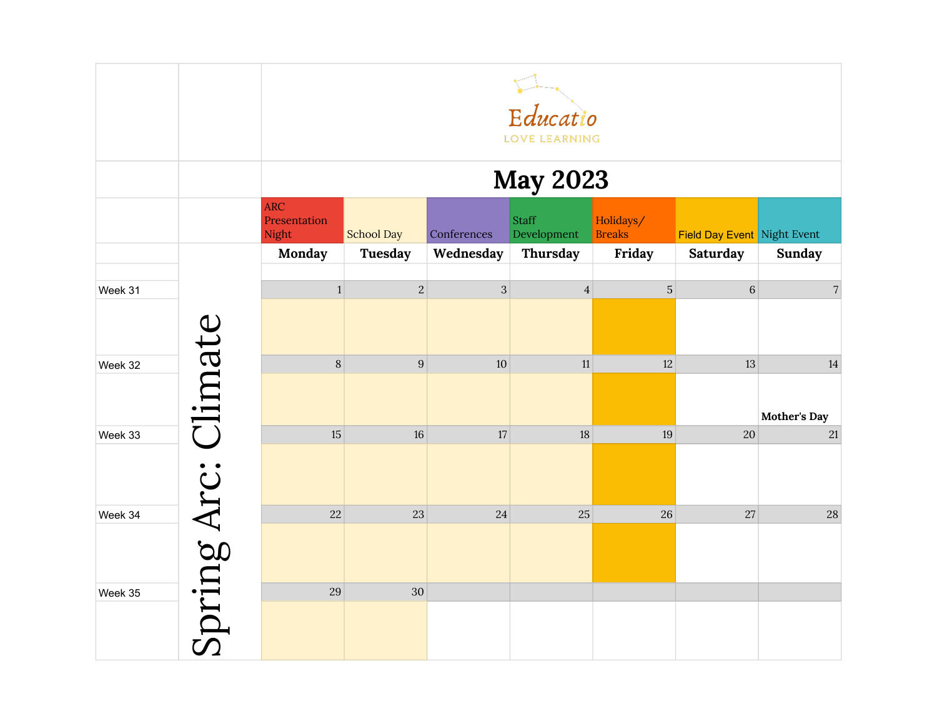|         |                     | Educatio<br>LOVE LEARNING           |                   |                |                             |                            |                                    |               |  |  |
|---------|---------------------|-------------------------------------|-------------------|----------------|-----------------------------|----------------------------|------------------------------------|---------------|--|--|
|         |                     |                                     | <b>May 2023</b>   |                |                             |                            |                                    |               |  |  |
|         |                     | <b>ARC</b><br>Presentation<br>Night | <b>School Day</b> | Conferences    | <b>Staff</b><br>Development | Holidays/<br><b>Breaks</b> | <b>Field Day Event</b> Night Event |               |  |  |
|         |                     | Monday                              | Tuesday           | Wednesday      | Thursday                    | Friday                     | <b>Saturday</b>                    | <b>Sunday</b> |  |  |
| Week 31 |                     | $\mathbf{1}$                        | $\overline{2}$    | $\overline{3}$ | $\overline{4}$              | $\overline{5}$             | $\,6\,$                            | $\sqrt{7}$    |  |  |
| Week 32 |                     | $\,8\,$                             | $\boldsymbol{9}$  | 10             | $11$                        | 12                         | 13                                 | 14            |  |  |
|         |                     |                                     |                   |                |                             |                            |                                    | Mother's Day  |  |  |
| Week 33 |                     | 15                                  | 16                | 17             | 18                          | 19                         | 20                                 | 21            |  |  |
| Week 34 |                     | 22                                  | 23                | 24             | 25                          | 26                         | 27                                 | $28\,$        |  |  |
| Week 35 | Spring Arc: Climate | 29                                  | 30                |                |                             |                            |                                    |               |  |  |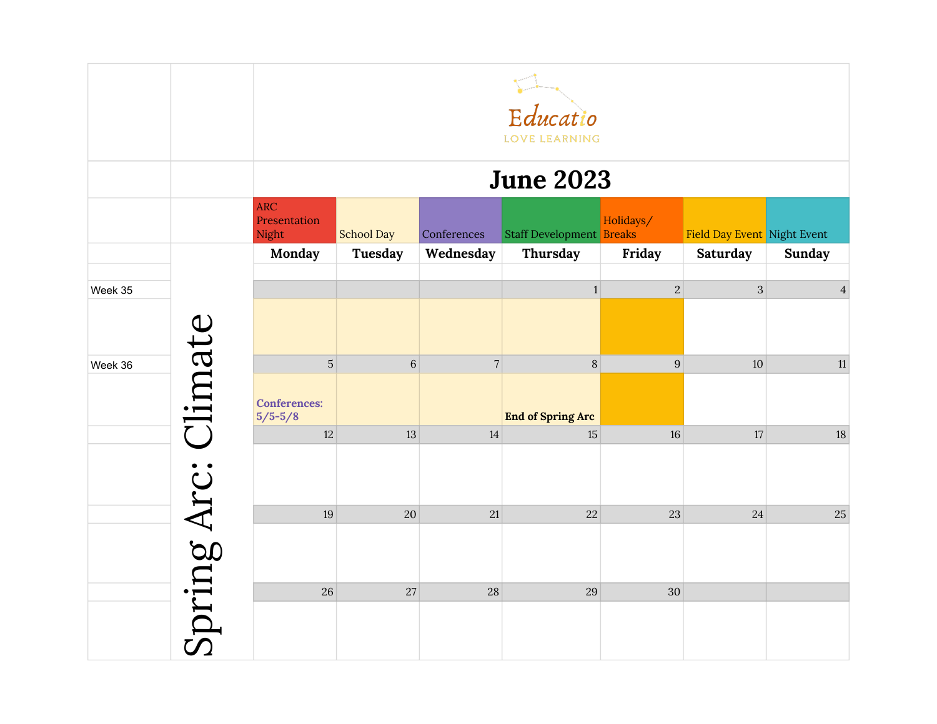|         |             | Educatio<br><b>LOVE LEARNING</b>    |                   |                |                                 |           |                             |                |  |  |
|---------|-------------|-------------------------------------|-------------------|----------------|---------------------------------|-----------|-----------------------------|----------------|--|--|
|         |             |                                     | <b>June 2023</b>  |                |                                 |           |                             |                |  |  |
|         |             | <b>ARC</b><br>Presentation<br>Night | <b>School Day</b> | Conferences    | <b>Staff Development Breaks</b> | Holidays/ | Field Day Event Night Event |                |  |  |
|         |             | Monday                              | <b>Tuesday</b>    | Wednesday      | Thursday                        | Friday    | Saturday                    | <b>Sunday</b>  |  |  |
| Week 35 |             |                                     |                   |                | 1                               | $\vert$ 2 | $\mathbf{3}$                | $\overline{4}$ |  |  |
|         | Climate     |                                     |                   |                |                                 |           |                             |                |  |  |
| Week 36 |             | $\overline{5}$                      | 6 <sup>1</sup>    | $\overline{7}$ | 8                               | 9         | 10                          | 11             |  |  |
|         |             | <b>Conferences:</b><br>$5/5 - 5/8$  |                   |                | <b>End of Spring Arc</b>        |           |                             |                |  |  |
|         |             | $12\,$                              | 13                | 14             | 15                              | 16        | 17                          | $18\,$         |  |  |
|         |             |                                     |                   |                |                                 |           |                             |                |  |  |
|         |             | 19                                  | 20                | 21             | 22                              | 23        | 24                          | $25\,$         |  |  |
|         | Spring Arc: |                                     |                   |                |                                 |           |                             |                |  |  |
|         |             | 26                                  | 27                | 28             | 29                              | 30        |                             |                |  |  |
|         |             |                                     |                   |                |                                 |           |                             |                |  |  |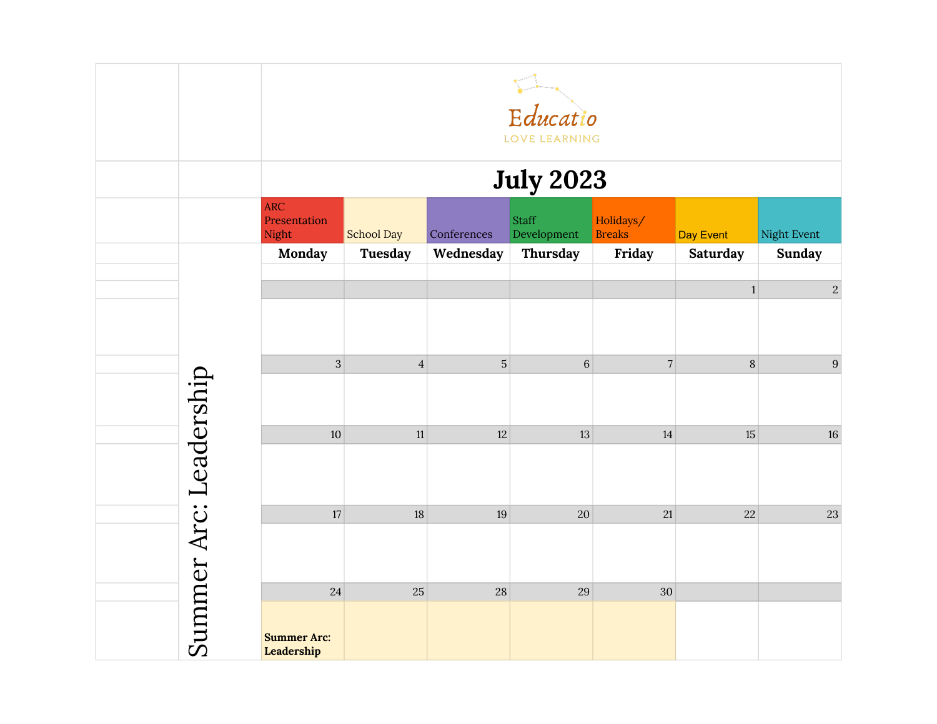|                        |                                     | Educatio<br>LOVE LEARNING |             |                             |                            |              |               |  |  |
|------------------------|-------------------------------------|---------------------------|-------------|-----------------------------|----------------------------|--------------|---------------|--|--|
|                        | <b>July 2023</b>                    |                           |             |                             |                            |              |               |  |  |
|                        | <b>ARC</b><br>Presentation<br>Night | <b>School Day</b>         | Conferences | <b>Staff</b><br>Development | Holidays/<br><b>Breaks</b> | Day Event    | Night Event   |  |  |
|                        | Monday                              | Tuesday                   | Wednesday   | Thursday                    | Friday                     | Saturday     | <b>Sunday</b> |  |  |
|                        |                                     |                           |             |                             |                            | $\mathbf{1}$ | $\sqrt{2}$    |  |  |
|                        |                                     |                           |             |                             |                            |              |               |  |  |
|                        | $\overline{3}$                      | $\overline{4}$            | $\mathbf 5$ | $\,6\,$                     | $\sqrt{7}$                 | $8\,$        | $9\,$         |  |  |
|                        |                                     |                           |             |                             |                            |              |               |  |  |
|                        | $10\,$                              | 11                        | 12          | 13                          | 14                         | $15\,$       | 16            |  |  |
| Summer Arc: Leadership |                                     |                           |             |                             |                            |              |               |  |  |
|                        | 17                                  | 18                        | 19          | 20                          | 21                         | 22           | 23            |  |  |
|                        |                                     |                           |             |                             |                            |              |               |  |  |
|                        | 24                                  | 25                        | 28          | 29                          | 30                         |              |               |  |  |
|                        | <b>Summer Arc:</b><br>Leadership    |                           |             |                             |                            |              |               |  |  |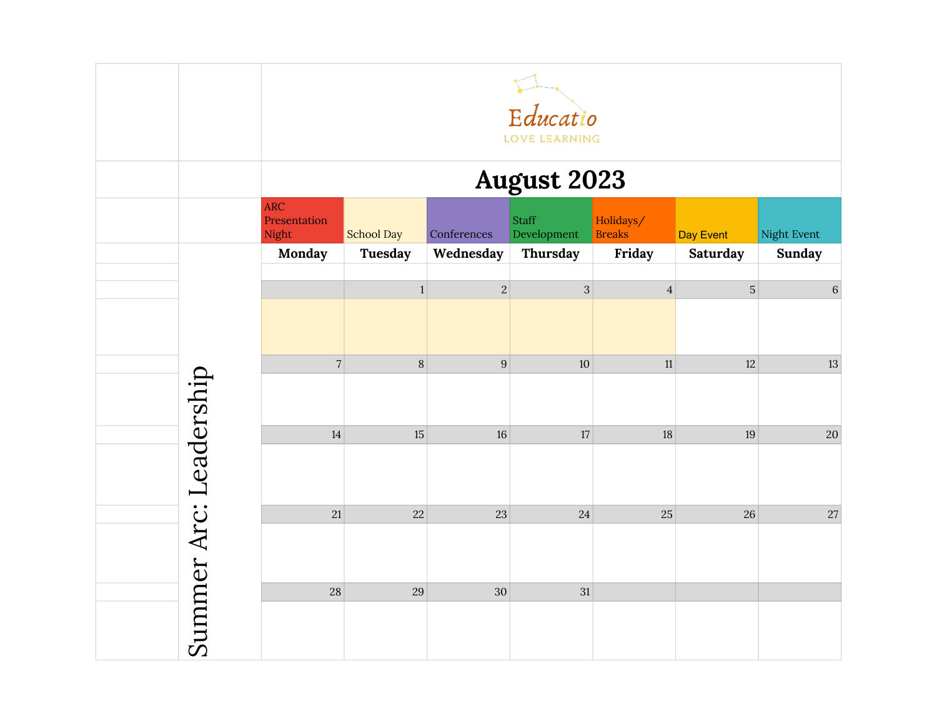|                        | Educatio<br>LOVE LEARNING           |                   |                  |                      |                            |                 |               |  |  |
|------------------------|-------------------------------------|-------------------|------------------|----------------------|----------------------------|-----------------|---------------|--|--|
|                        | <b>August 2023</b>                  |                   |                  |                      |                            |                 |               |  |  |
|                        | <b>ARC</b><br>Presentation<br>Night | <b>School Day</b> | Conferences      | Staff<br>Development | Holidays/<br><b>Breaks</b> | Day Event       | Night Event   |  |  |
|                        | Monday                              | Tuesday           | Wednesday        | Thursday             | Friday                     | <b>Saturday</b> | <b>Sunday</b> |  |  |
|                        |                                     | $\mathbf{1}$      | $\sqrt{2}$       | $\overline{3}$       | $\overline{4}$             | $\mathbf 5$     | $6 \mid$      |  |  |
|                        |                                     |                   |                  |                      |                            |                 |               |  |  |
|                        | $\sqrt{ }$                          | $\, 8$            | $\boldsymbol{9}$ | 10                   | 11                         | 12              | 13            |  |  |
|                        |                                     |                   |                  |                      |                            |                 |               |  |  |
|                        | 14                                  | 15                | 16               | 17                   | 18                         | 19              | $20\,$        |  |  |
| Summer Arc: Leadership |                                     |                   |                  |                      |                            |                 |               |  |  |
|                        | 21                                  | 22                | 23               | 24                   | 25                         | 26              | $27\,$        |  |  |
|                        |                                     |                   |                  |                      |                            |                 |               |  |  |
|                        | 28                                  | 29                | $30\,$           | 31                   |                            |                 |               |  |  |
|                        |                                     |                   |                  |                      |                            |                 |               |  |  |